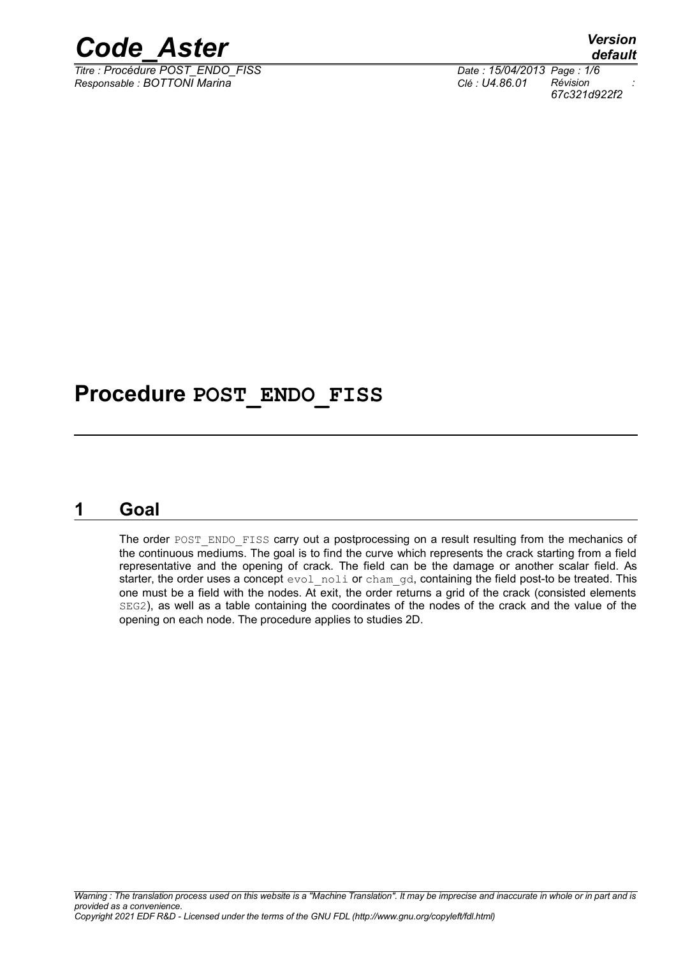

*Titre : Procédure POST\_ENDO\_FISS Date : 15/04/2013 Page : 1/6 Responsable : BOTTONI Marina Clé : U4.86.01 Révision :*

*default 67c321d922f2*

# **Procedure POST\_ENDO\_FISS**

# **1 Goal**

The order POST\_ENDO\_FISS carry out a postprocessing on a result resulting from the mechanics of the continuous mediums. The goal is to find the curve which represents the crack starting from a field representative and the opening of crack. The field can be the damage or another scalar field. As starter, the order uses a concept evol noli or cham qd, containing the field post-to be treated. This one must be a field with the nodes. At exit, the order returns a grid of the crack (consisted elements SEG2), as well as a table containing the coordinates of the nodes of the crack and the value of the opening on each node. The procedure applies to studies 2D.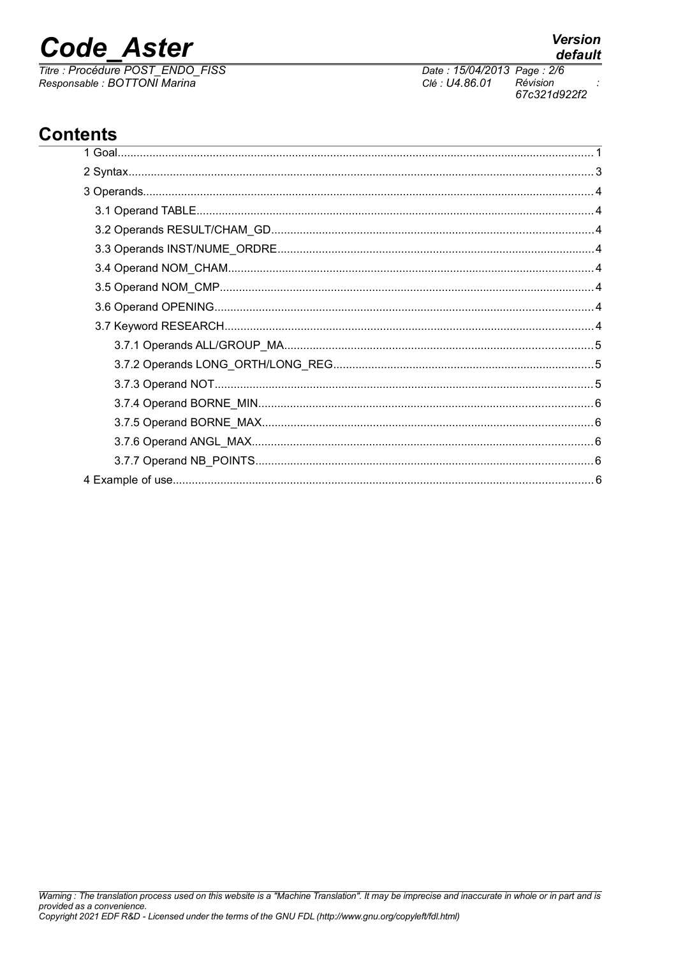# **Code Aster**

Titre : Procédure POST\_ENDO\_FISS<br>Responsable : BOTTONI Marina

# **Contents**

**Version** default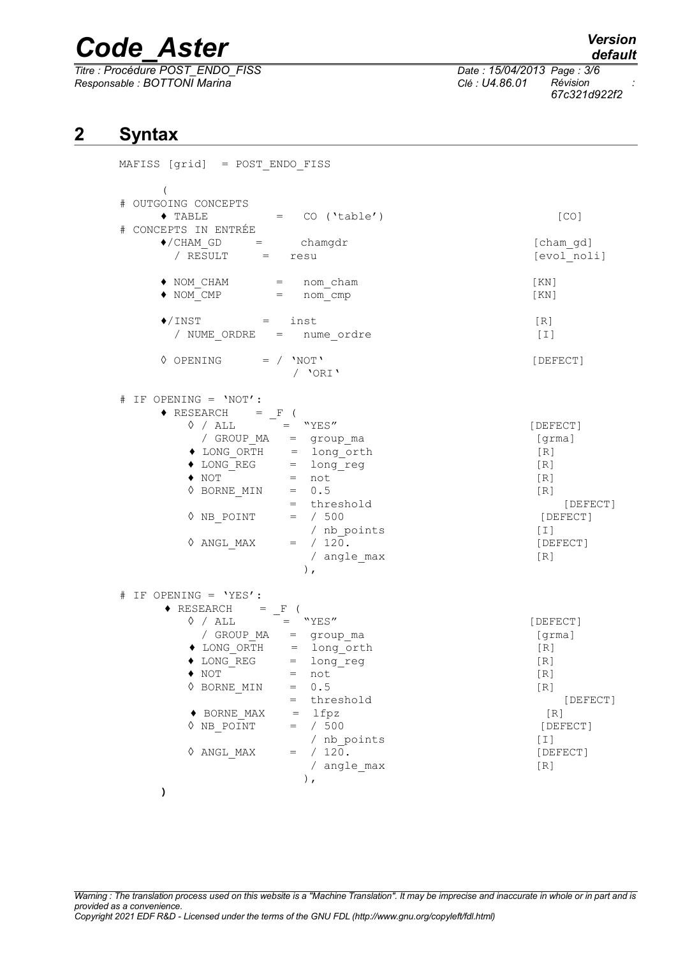# *Code\_Aster Version*

*Titre : Procédure POST\_ENDO\_FISS Date : 15/04/2013 Page : 3/6 Responsable : BOTTONI Marina Clé : U4.86.01 Révision :*

*67c321d922f2*

# **2 Syntax**

| MAFISS [grid] = POST ENDO FISS                                                                                                                                                                                                                                                                                                                                                                                                                                                                                    |                                                                                                                |
|-------------------------------------------------------------------------------------------------------------------------------------------------------------------------------------------------------------------------------------------------------------------------------------------------------------------------------------------------------------------------------------------------------------------------------------------------------------------------------------------------------------------|----------------------------------------------------------------------------------------------------------------|
| # OUTGOING CONCEPTS<br>$\bullet$ TABLE = $CO$ ('table')<br># CONCEPTS IN ENTRÉE<br>$\begin{array}{rcl} \blacklozenge / \texttt{CHAM\_GD} & = & \texttt{chamgdr} \\ / & \texttt{RESULT} & = & \texttt{resu} \end{array}$                                                                                                                                                                                                                                                                                           | [CO]<br>[cham gd]<br>[evol noli]                                                                               |
| $\begin{array}{rcl}\n\blacklozenge &\text{NOM\_CHAM} & = & \text{nom\_cham} \\ \blacklozenge &\text{NOM\_CMP} & = & \text{nom\_cmp}\n\end{array}$                                                                                                                                                                                                                                                                                                                                                                 | [KN]<br>[KN]                                                                                                   |
| $\bigcirc$ / INST $=$<br>inst<br>/ NUME ORDRE = nume ordre                                                                                                                                                                                                                                                                                                                                                                                                                                                        | [R]<br>$[1]$                                                                                                   |
| $\Diamond$ OPENING = / 'NOT'<br>/ 'ORI'                                                                                                                                                                                                                                                                                                                                                                                                                                                                           | [DEFECT]                                                                                                       |
| $# IF OPENING = 'NOT':$<br>$\begin{array}{ccccc} \bullet & \text{RESEARCH} & = & F & ( \\ & \Diamond & / \text{ ALL} & = & \text{``YES''} \end{array}$<br>$\sqrt{ABC}$ ALL = TES<br>$\sqrt{GROUP_MA}$ = group_ma<br>$\triangle{LONG\_ORTH}$ = long_orth<br>$\triangle{LONG\_REF}$ = long_reg<br>$\triangle{NOT}$ = not<br>$\triangle{BORNE_MIN}$ = 0.5<br>= threshold<br>$\triangle{NB\_POINT}$ = / 500<br>/ nb_points<br>$\triangle{ANGI, MAX}$ = / 120<br>$\Diamond$ ANGL MAX = / 120.<br>/ angle max<br>$\,$ , | [DEFECT]<br>[grma]<br>[R]<br>[R]<br>[R]<br>[R]<br>[DEFECT]<br>[DEFECT]<br>$[1]$<br>[DEFECT]<br>[R]             |
| # IF OPENING = 'YES' :<br>$\begin{array}{ccccc} \bullet & \text{RESEARCH} & = & F & ( \\ & \Diamond & / & \text{ALL} & = & \text{``YES}\end{array}$<br>/ GROUP_MA = group_ma<br>◆ LONG_ORTH = long_orth<br>◆ LONG_REG = long_reg<br>$\blacklozenge$ NOT<br>$=$ not<br>0.5<br>$\Diamond$ BORNE MIN<br>$=$<br>= threshold<br>$= 1$ fpz<br>$\blacklozenge$ BORNE MAX<br>$\Diamond$ NB POINT<br>$=$ / 500<br>/ nb points<br>$\Diamond$ ANGL MAX<br>$=$ / 120.<br>/ angle max<br>),                                    | [DEFECT]<br>[grama]<br>[R]<br>$[ R ]$<br>[R]<br>[R]<br>[DEFECT]<br>[R]<br>[DEFECT]<br>$[1]$<br>[DEFECT]<br>[R] |
|                                                                                                                                                                                                                                                                                                                                                                                                                                                                                                                   |                                                                                                                |

*Warning : The translation process used on this website is a "Machine Translation". It may be imprecise and inaccurate in whole or in part and is provided as a convenience. Copyright 2021 EDF R&D - Licensed under the terms of the GNU FDL (http://www.gnu.org/copyleft/fdl.html)*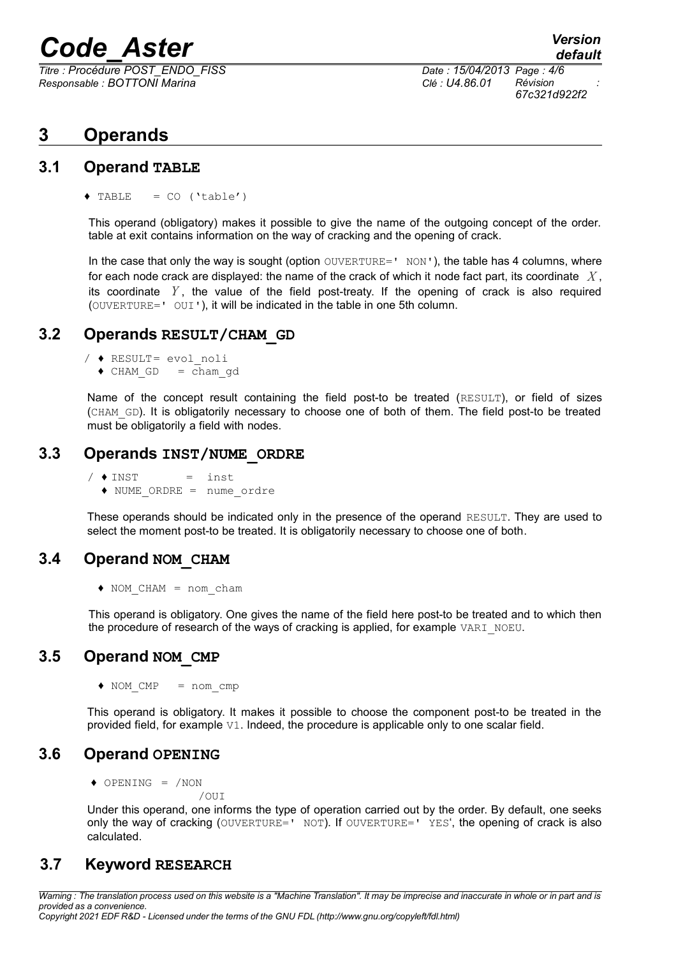# *Code\_Aster Version*

*Titre : Procédure POST\_ENDO\_FISS Date : 15/04/2013 Page : 4/6 Responsable : BOTTONI Marina Clé : U4.86.01 Révision :*

# **3 Operands**

#### **3.1 Operand TABLE**

 $\triangle$  TABLE = CO ('table')

This operand (obligatory) makes it possible to give the name of the outgoing concept of the order. table at exit contains information on the way of cracking and the opening of crack.

In the case that only the way is sought (option  $\text{OUVERTURE}$ ='  $\text{NON'}$ ), the table has 4 columns, where for each node crack are displayed: the name of the crack of which it node fact part, its coordinate *X* , its coordinate *Y* , the value of the field post-treaty. If the opening of crack is also required (OUVERTURE=' OUI'), it will be indicated in the table in one 5th column.

#### **3.2 Operands RESULT/CHAM\_GD**

- / ♦ RESULT= evol\_noli
	- $\triangleleft$  CHAM GD = cham gd

Name of the concept result containing the field post-to be treated (RESULT), or field of sizes (CHAM\_GD). It is obligatorily necessary to choose one of both of them. The field post-to be treated must be obligatorily a field with nodes.

#### **3.3 Operands INST/NUME\_ORDRE**

 $/ \triangleleft INST$  = inst ♦ NUME\_ORDRE = nume\_ordre

These operands should be indicated only in the presence of the operand RESULT. They are used to select the moment post-to be treated. It is obligatorily necessary to choose one of both.

## **3.4 Operand NOM\_CHAM**

♦ NOM\_CHAM = nom\_cham

This operand is obligatory. One gives the name of the field here post-to be treated and to which then the procedure of research of the ways of cracking is applied, for example VARI\_NOEU.

## **3.5 Operand NOM\_CMP**

♦ NOM\_CMP = nom\_cmp

This operand is obligatory. It makes it possible to choose the component post-to be treated in the provided field, for example V1. Indeed, the procedure is applicable only to one scalar field.

## **3.6 Operand OPENING**

♦ OPENING = /NON

/OUI

Under this operand, one informs the type of operation carried out by the order. By default, one seeks only the way of cracking (OUVERTURE=' NOT). If OUVERTURE=' YES', the opening of crack is also calculated.

## **3.7 Keyword RESEARCH**

*Warning : The translation process used on this website is a "Machine Translation". It may be imprecise and inaccurate in whole or in part and is provided as a convenience. Copyright 2021 EDF R&D - Licensed under the terms of the GNU FDL (http://www.gnu.org/copyleft/fdl.html)*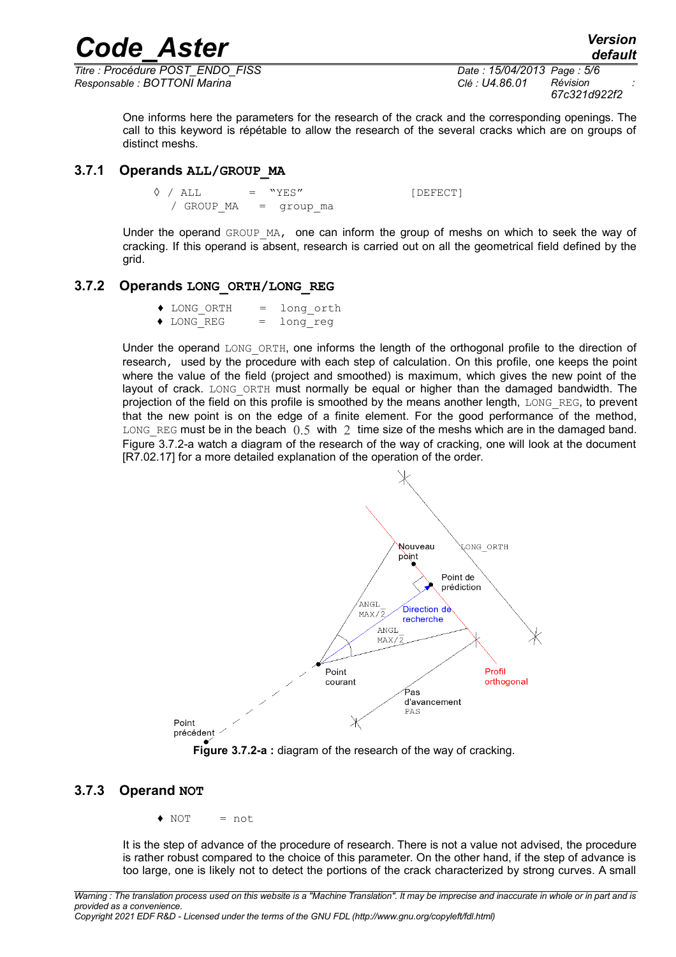*Titre : Procédure POST\_ENDO\_FISS Date : 15/04/2013 Page : 5/6 Responsable : BOTTONI Marina Clé : U4.86.01 Révision :*

*67c321d922f2*

*default*

One informs here the parameters for the research of the crack and the corresponding openings. The call to this keyword is répétable to allow the research of the several cracks which are on groups of distinct meshs.

*Code\_Aster Version*

#### **3.7.1 Operands ALL/GROUP\_MA**

 $\Diamond$  / ALL  $=$  "YES" [DEFECT] / GROUP MA = group ma

Under the operand GROUP MA, one can inform the group of meshs on which to seek the way of cracking. If this operand is absent, research is carried out on all the geometrical field defined by the grid.

#### **3.7.2 Operands LONG\_ORTH/LONG\_REG**

- ♦ LONG\_ORTH = long\_orth
- ♦ LONG\_REG = long\_reg

Under the operand LONG ORTH, one informs the length of the orthogonal profile to the direction of research, used by the procedure with each step of calculation. On this profile, one keeps the point where the value of the field (project and smoothed) is maximum, which gives the new point of the layout of crack. LONG ORTH must normally be equal or higher than the damaged bandwidth. The projection of the field on this profile is smoothed by the means another length, LONG REG, to prevent that the new point is on the edge of a finite element. For the good performance of the method, LONG REG must be in the beach  $0.5$  with 2 time size of the meshs which are in the damaged band. [Figure 3.7.2-a](#page-4-0) watch a diagram of the research of the way of cracking, one will look at the document [R7.02.17] for a more detailed explanation of the operation of the order.



<span id="page-4-0"></span>**Figure 3.7.2-a :** diagram of the research of the way of cracking.

#### **3.7.3 Operand NOT**

 $\bullet$  NOT = not

It is the step of advance of the procedure of research. There is not a value not advised, the procedure is rather robust compared to the choice of this parameter. On the other hand, if the step of advance is too large, one is likely not to detect the portions of the crack characterized by strong curves. A small